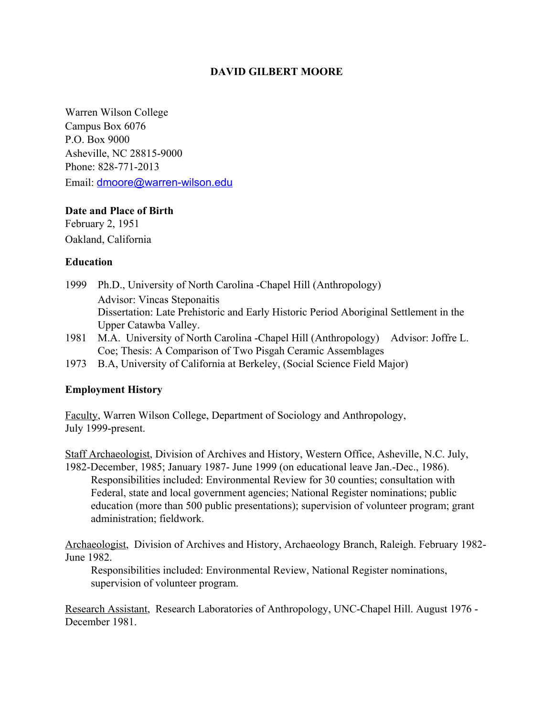### **DAVID GILBERT MOORE**

Warren Wilson College Campus Box 6076 P.O. Box 9000 Asheville, NC 28815-9000 Phone: 828-771-2013 Email: [dmoore@warren-wilson.edu](mailto:dmoore@warren-wilson.edu)

#### **Date and Place of Birth**

February 2, 1951 Oakland, California

## **Education**

- 1999 Ph.D., University of North Carolina -Chapel Hill (Anthropology) Advisor: Vincas Steponaitis Dissertation: Late Prehistoric and Early Historic Period Aboriginal Settlement in the Upper Catawba Valley.
- 1981 M.A. University of North Carolina -Chapel Hill (Anthropology) Advisor: Joffre L. Coe; Thesis: A Comparison of Two Pisgah Ceramic Assemblages
- 1973 B.A, University of California at Berkeley, (Social Science Field Major)

## **Employment History**

Faculty, Warren Wilson College, Department of Sociology and Anthropology, July 1999-present.

Staff Archaeologist, Division of Archives and History, Western Office, Asheville, N.C. July, 1982-December, 1985; January 1987- June 1999 (on educational leave Jan.-Dec., 1986). Responsibilities included: Environmental Review for 30 counties; consultation with Federal, state and local government agencies; National Register nominations; public education (more than 500 public presentations); supervision of volunteer program; grant administration; fieldwork.

Archaeologist, Division of Archives and History, Archaeology Branch, Raleigh. February 1982- June 1982.

Responsibilities included: Environmental Review, National Register nominations, supervision of volunteer program.

Research Assistant, Research Laboratories of Anthropology, UNC-Chapel Hill. August 1976 - December 1981.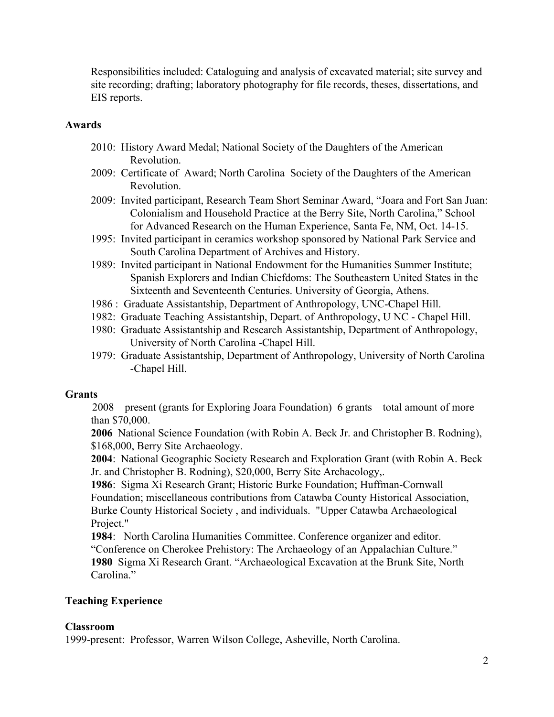Responsibilities included: Cataloguing and analysis of excavated material; site survey and site recording; drafting; laboratory photography for file records, theses, dissertations, and EIS reports.

### **Awards**

- 2010: History Award Medal; National Society of the Daughters of the American Revolution.
- 2009: Certificate of Award; North Carolina Society of the Daughters of the American Revolution.
- 2009: Invited participant, Research Team Short Seminar Award, "Joara and Fort San Juan: Colonialism and Household Practice at the Berry Site, North Carolina," School for Advanced Research on the Human Experience, Santa Fe, NM, Oct. 14-15.
- 1995: Invited participant in ceramics workshop sponsored by National Park Service and South Carolina Department of Archives and History.
- 1989: Invited participant in National Endowment for the Humanities Summer Institute; Spanish Explorers and Indian Chiefdoms: The Southeastern United States in the Sixteenth and Seventeenth Centuries. University of Georgia, Athens.
- 1986 : Graduate Assistantship, Department of Anthropology, UNC-Chapel Hill.
- 1982: Graduate Teaching Assistantship, Depart. of Anthropology, U NC Chapel Hill.
- 1980: Graduate Assistantship and Research Assistantship, Department of Anthropology, University of North Carolina -Chapel Hill.
- 1979: Graduate Assistantship, Department of Anthropology, University of North Carolina -Chapel Hill.

## **Grants**

2008 – present (grants for Exploring Joara Foundation) 6 grants – total amount of more than \$70,000.

**2006** National Science Foundation (with Robin A. Beck Jr. and Christopher B. Rodning), \$168,000, Berry Site Archaeology.

**2004**: National Geographic Society Research and Exploration Grant (with Robin A. Beck Jr. and Christopher B. Rodning), \$20,000, Berry Site Archaeology,.

**1986**: Sigma Xi Research Grant; Historic Burke Foundation; Huffman-Cornwall Foundation; miscellaneous contributions from Catawba County Historical Association, Burke County Historical Society , and individuals. "Upper Catawba Archaeological Project."

**1984**: North Carolina Humanities Committee. Conference organizer and editor. "Conference on Cherokee Prehistory: The Archaeology of an Appalachian Culture." **1980** Sigma Xi Research Grant. "Archaeological Excavation at the Brunk Site, North Carolina."

## **Teaching Experience**

## **Classroom**

1999-present: Professor, Warren Wilson College, Asheville, North Carolina.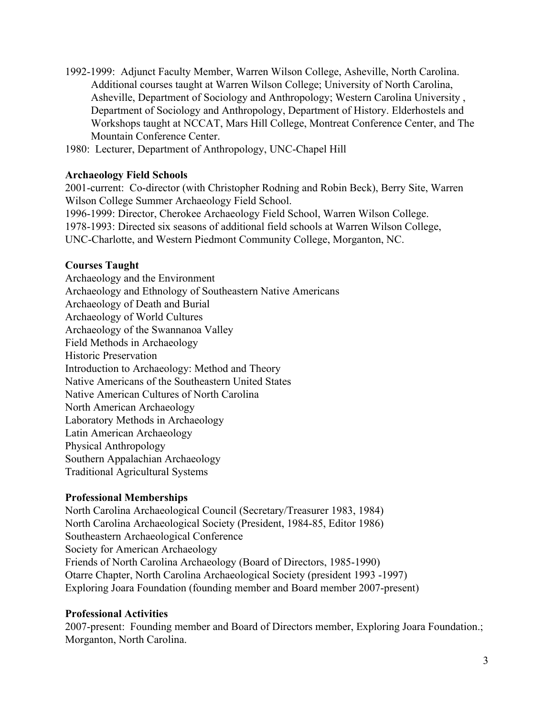- 1992-1999: Adjunct Faculty Member, Warren Wilson College, Asheville, North Carolina. Additional courses taught at Warren Wilson College; University of North Carolina, Asheville, Department of Sociology and Anthropology; Western Carolina University , Department of Sociology and Anthropology, Department of History. Elderhostels and Workshops taught at NCCAT, Mars Hill College, Montreat Conference Center, and The Mountain Conference Center.
- 1980: Lecturer, Department of Anthropology, UNC-Chapel Hill

## **Archaeology Field Schools**

2001-current: Co-director (with Christopher Rodning and Robin Beck), Berry Site, Warren Wilson College Summer Archaeology Field School. 1996-1999: Director, Cherokee Archaeology Field School, Warren Wilson College. 1978-1993: Directed six seasons of additional field schools at Warren Wilson College, UNC-Charlotte, and Western Piedmont Community College, Morganton, NC.

### **Courses Taught**

Archaeology and the Environment Archaeology and Ethnology of Southeastern Native Americans Archaeology of Death and Burial Archaeology of World Cultures Archaeology of the Swannanoa Valley Field Methods in Archaeology Historic Preservation Introduction to Archaeology: Method and Theory Native Americans of the Southeastern United States Native American Cultures of North Carolina North American Archaeology Laboratory Methods in Archaeology Latin American Archaeology Physical Anthropology Southern Appalachian Archaeology Traditional Agricultural Systems

#### **Professional Memberships**

North Carolina Archaeological Council (Secretary/Treasurer 1983, 1984) North Carolina Archaeological Society (President, 1984-85, Editor 1986) Southeastern Archaeological Conference Society for American Archaeology Friends of North Carolina Archaeology (Board of Directors, 1985-1990) Otarre Chapter, North Carolina Archaeological Society (president 1993 -1997) Exploring Joara Foundation (founding member and Board member 2007-present)

#### **Professional Activities**

2007-present: Founding member and Board of Directors member, Exploring Joara Foundation.; Morganton, North Carolina.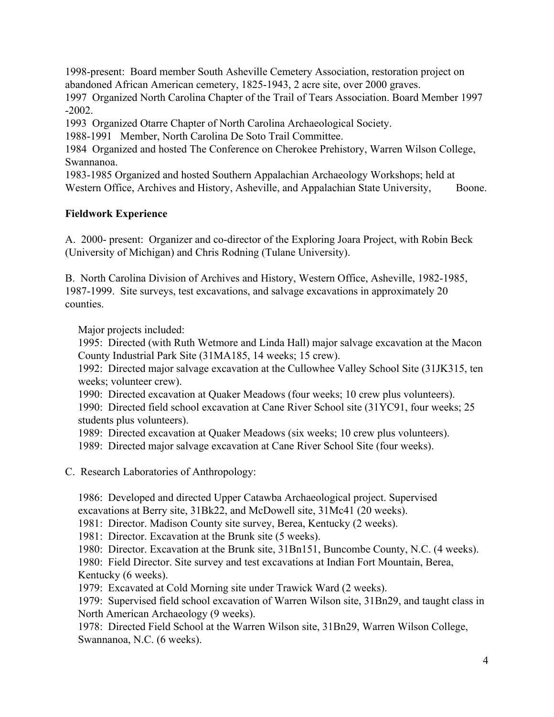1998-present: Board member South Asheville Cemetery Association, restoration project on abandoned African American cemetery, 1825-1943, 2 acre site, over 2000 graves.

1997 Organized North Carolina Chapter of the Trail of Tears Association. Board Member 1997 -2002.

1993 Organized Otarre Chapter of North Carolina Archaeological Society.

1988-1991 Member, North Carolina De Soto Trail Committee.

1984 Organized and hosted The Conference on Cherokee Prehistory, Warren Wilson College, Swannanoa.

1983-1985 Organized and hosted Southern Appalachian Archaeology Workshops; held at Western Office, Archives and History, Asheville, and Appalachian State University, Boone.

## **Fieldwork Experience**

A. 2000- present: Organizer and co-director of the Exploring Joara Project, with Robin Beck (University of Michigan) and Chris Rodning (Tulane University).

B. North Carolina Division of Archives and History, Western Office, Asheville, 1982-1985, 1987-1999. Site surveys, test excavations, and salvage excavations in approximately 20 counties.

Major projects included:

1995: Directed (with Ruth Wetmore and Linda Hall) major salvage excavation at the Macon County Industrial Park Site (31MA185, 14 weeks; 15 crew).

1992: Directed major salvage excavation at the Cullowhee Valley School Site (31JK315, ten weeks; volunteer crew).

1990: Directed excavation at Quaker Meadows (four weeks; 10 crew plus volunteers).

1990: Directed field school excavation at Cane River School site (31YC91, four weeks; 25 students plus volunteers).

1989: Directed excavation at Quaker Meadows (six weeks; 10 crew plus volunteers).

1989: Directed major salvage excavation at Cane River School Site (four weeks).

C. Research Laboratories of Anthropology:

1986: Developed and directed Upper Catawba Archaeological project. Supervised excavations at Berry site, 31Bk22, and McDowell site, 31Mc41 (20 weeks).

1981: Director. Madison County site survey, Berea, Kentucky (2 weeks).

1981: Director. Excavation at the Brunk site (5 weeks).

1980: Director. Excavation at the Brunk site, 31Bn151, Buncombe County, N.C. (4 weeks).

1980: Field Director. Site survey and test excavations at Indian Fort Mountain, Berea, Kentucky (6 weeks).

1979: Excavated at Cold Morning site under Trawick Ward (2 weeks).

1979: Supervised field school excavation of Warren Wilson site, 31Bn29, and taught class in North American Archaeology (9 weeks).

1978: Directed Field School at the Warren Wilson site, 31Bn29, Warren Wilson College, Swannanoa, N.C. (6 weeks).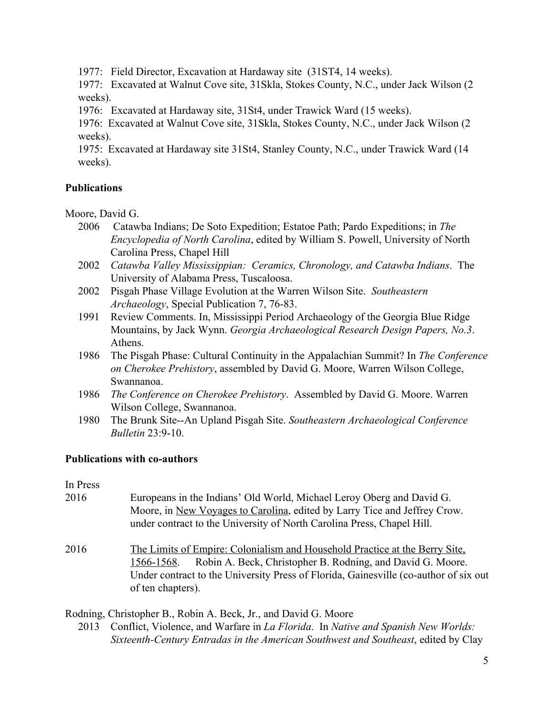1977: Field Director, Excavation at Hardaway site (31ST4, 14 weeks).

1977: Excavated at Walnut Cove site, 31Skla, Stokes County, N.C., under Jack Wilson (2 weeks).

1976: Excavated at Hardaway site, 31St4, under Trawick Ward (15 weeks).

1976: Excavated at Walnut Cove site, 31Skla, Stokes County, N.C., under Jack Wilson (2 weeks).

1975: Excavated at Hardaway site 31St4, Stanley County, N.C., under Trawick Ward (14 weeks).

## **Publications**

Moore, David G.

- 2006 Catawba Indians; De Soto Expedition; Estatoe Path; Pardo Expeditions; in *The Encyclopedia of North Carolina*, edited by William S. Powell, University of North Carolina Press, Chapel Hill
- 2002 *Catawba Valley Mississippian: Ceramics, Chronology, and Catawba Indians*. The University of Alabama Press, Tuscaloosa.
- 2002 Pisgah Phase Village Evolution at the Warren Wilson Site. *Southeastern Archaeology*, Special Publication 7, 76-83.
- 1991 Review Comments. In, Mississippi Period Archaeology of the Georgia Blue Ridge Mountains, by Jack Wynn. *Georgia Archaeological Research Design Papers, No.3*. Athens.
- 1986 The Pisgah Phase: Cultural Continuity in the Appalachian Summit? In *The Conference on Cherokee Prehistory*, assembled by David G. Moore, Warren Wilson College, Swannanoa.
- 1986 *The Conference on Cherokee Prehistory*. Assembled by David G. Moore. Warren Wilson College, Swannanoa.
- 1980 The Brunk Site--An Upland Pisgah Site. *Southeastern Archaeological Conference Bulletin* 23:9-10.

## **Publications with co-authors**

In Press

- 2016 Europeans in the Indians' Old World, Michael Leroy Oberg and David G. Moore, in New Voyages to Carolina, edited by Larry Tice and Jeffrey Crow. under contract to the University of North Carolina Press, Chapel Hill.
- 2016 The Limits of Empire: Colonialism and Household Practice at the Berry Site, 1566-1568. Robin A. Beck, Christopher B. Rodning, and David G. Moore. Under contract to the University Press of Florida, Gainesville (co-author of six out of ten chapters).

Rodning, Christopher B., Robin A. Beck, Jr., and David G. Moore

2013 Conflict, Violence, and Warfare in *La Florida*. In *Native and Spanish New Worlds: Sixteenth-Century Entradas in the American Southwest and Southeast*, edited by Clay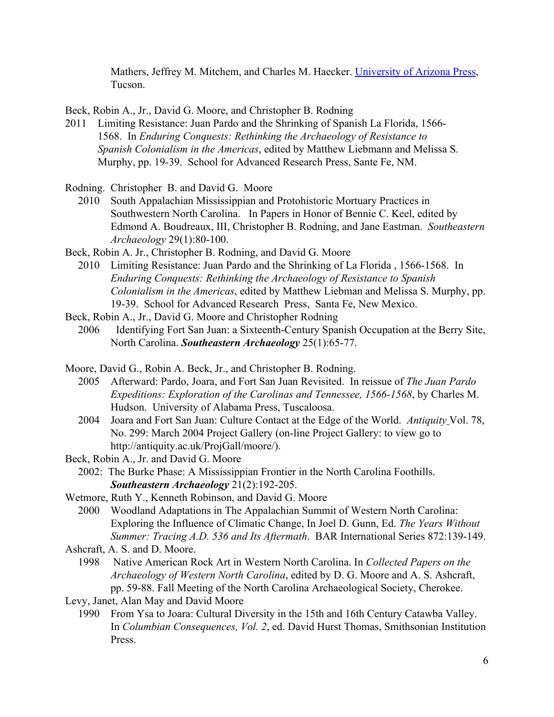Mathers, Jeffrey M. Mitchem, and Charles M. Haecker. [University of Arizona Press](http://uapress.arizona.edu/), Tucson.

Beck, Robin A., Jr., David G. Moore, and Christopher B. Rodning

2011 Limiting Resistance: Juan Pardo and the Shrinking of Spanish La Florida, 1566- 1568. In *Enduring Conquests: Rethinking the Archaeology of Resistance to Spanish Colonialism in the Americas*, edited by Matthew Liebmann and Melissa S. Murphy, pp. 19-39. School for Advanced Research Press, Sante Fe, NM.

Rodning. Christopher B. and David G. Moore

- 2010 South Appalachian Mississippian and Protohistoric Mortuary Practices in Southwestern North Carolina. In Papers in Honor of Bennie C. Keel, edited by Edmond A. Boudreaux, III, Christopher B. Rodning, and Jane Eastman.*Southeastern Archaeology* 29(1):80-100.
- Beck, Robin A. Jr., Christopher B. Rodning, and David G. Moore
	- 2010 Limiting Resistance: Juan Pardo and the Shrinking of La Florida , 1566-1568. In *Enduring Conquests: Rethinking the Archaeology of Resistance to Spanish Colonialism in the Americas*, edited by Matthew Liebman and Melissa S. Murphy, pp. 19-39. School for Advanced Research Press, Santa Fe, New Mexico.
- Beck, Robin A., Jr., David G. Moore and Christopher Rodning
	- 2006 Identifying Fort San Juan: a Sixteenth-Century Spanish Occupation at the Berry Site, North Carolina. *Southeastern Archaeology* 25(1):65-77.
- Moore, David G., Robin A. Beck, Jr., and Christopher B. Rodning.
	- 2005 Afterward: Pardo, Joara, and Fort San Juan Revisited. In reissue of *The Juan Pardo Expeditions: Exploration of the Carolinas and Tennessee, 1566-1568*, by Charles M. Hudson. University of Alabama Press, Tuscaloosa.
	- 2004 Joara and Fort San Juan: Culture Contact at the Edge of the World. *Antiquity* Vol. 78, No. 299: March 2004 Project Gallery (on-line Project Gallery: to view go to http://antiquity.ac.uk/ProjGall/moore/).
- Beck, Robin A., Jr. and David G. Moore
	- 2002: The Burke Phase: A Mississippian Frontier in the North Carolina Foothills. *Southeastern Archaeology* 21(2):192-205.
- Wetmore, Ruth Y., Kenneth Robinson, and David G. Moore
	- 2000 Woodland Adaptations in The Appalachian Summit of Western North Carolina: Exploring the Influence of Climatic Change, In Joel D. Gunn, Ed. *The Years Without Summer: Tracing A.D. 536 and Its Aftermath*. BAR International Series 872:139-149.
- Ashcraft, A. S. and D. Moore.
	- 1998 Native American Rock Art in Western North Carolina. In *Collected Papers on the Archaeology of Western North Carolina*, edited by D. G. Moore and A. S. Ashcraft, pp. 59-88. Fall Meeting of the North Carolina Archaeological Society, Cherokee.
- Levy, Janet, Alan May and David Moore
	- 1990 From Ysa to Joara: Cultural Diversity in the 15th and 16th Century Catawba Valley. In *Columbian Consequences, Vol. 2*, ed. David Hurst Thomas, Smithsonian Institution Press.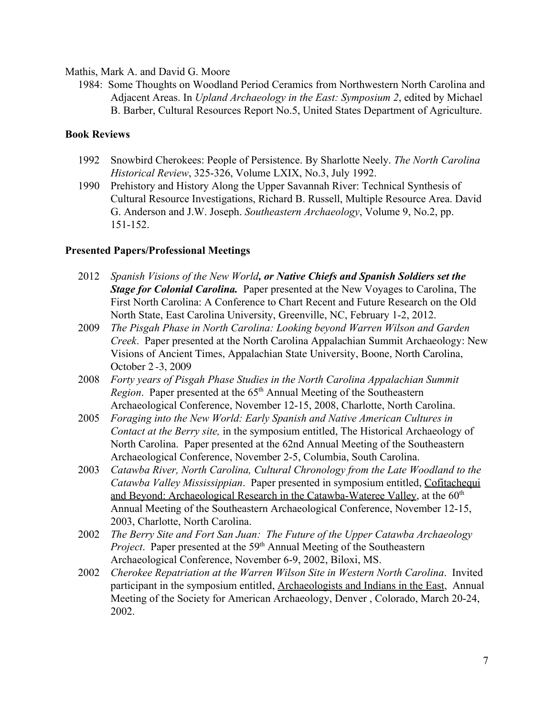Mathis, Mark A. and David G. Moore

1984: Some Thoughts on Woodland Period Ceramics from Northwestern North Carolina and Adjacent Areas. In *Upland Archaeology in the East: Symposium 2*, edited by Michael B. Barber, Cultural Resources Report No.5, United States Department of Agriculture.

#### **Book Reviews**

- 1992 Snowbird Cherokees: People of Persistence. By Sharlotte Neely. *The North Carolina Historical Review*, 325-326, Volume LXIX, No.3, July 1992.
- 1990 Prehistory and History Along the Upper Savannah River: Technical Synthesis of Cultural Resource Investigations, Richard B. Russell, Multiple Resource Area. David G. Anderson and J.W. Joseph. *Southeastern Archaeology*, Volume 9, No.2, pp. 151-152.

#### **Presented Papers/Professional Meetings**

- 2012 *Spanish Visions of the New World, or Native Chiefs and Spanish Soldiers set the Stage for Colonial Carolina.* Paper presented at the New Voyages to Carolina, The First North Carolina: A Conference to Chart Recent and Future Research on the Old North State, East Carolina University, Greenville, NC, February 1-2, 2012.
- 2009 *The Pisgah Phase in North Carolina: Looking beyond Warren Wilson and Garden Creek*. Paper presented at the North Carolina Appalachian Summit Archaeology: New Visions of Ancient Times, Appalachian State University, Boone, North Carolina, October 2 -3, 2009
- 2008 *Forty years of Pisgah Phase Studies in the North Carolina Appalachian Summit* Region. Paper presented at the 65<sup>th</sup> Annual Meeting of the Southeastern Archaeological Conference, November 12-15, 2008, Charlotte, North Carolina.
- 2005 *Foraging into the New World: Early Spanish and Native American Cultures in Contact at the Berry site,* in the symposium entitled, The Historical Archaeology of North Carolina. Paper presented at the 62nd Annual Meeting of the Southeastern Archaeological Conference, November 2-5, Columbia, South Carolina.
- 2003 *Catawba River, North Carolina, Cultural Chronology from the Late Woodland to the Catawba Valley Mississippian*. Paper presented in symposium entitled, Cofitachequi and Beyond: Archaeological Research in the Catawba-Wateree Valley, at the  $60<sup>th</sup>$ Annual Meeting of the Southeastern Archaeological Conference, November 12-15, 2003, Charlotte, North Carolina.
- 2002 *The Berry Site and Fort San Juan: The Future of the Upper Catawba Archaeology* Project. Paper presented at the 59<sup>th</sup> Annual Meeting of the Southeastern Archaeological Conference, November 6-9, 2002, Biloxi, MS.
- 2002 *Cherokee Repatriation at the Warren Wilson Site in Western North Carolina*. Invited participant in the symposium entitled, Archaeologists and Indians in the East, Annual Meeting of the Society for American Archaeology, Denver , Colorado, March 20-24, 2002.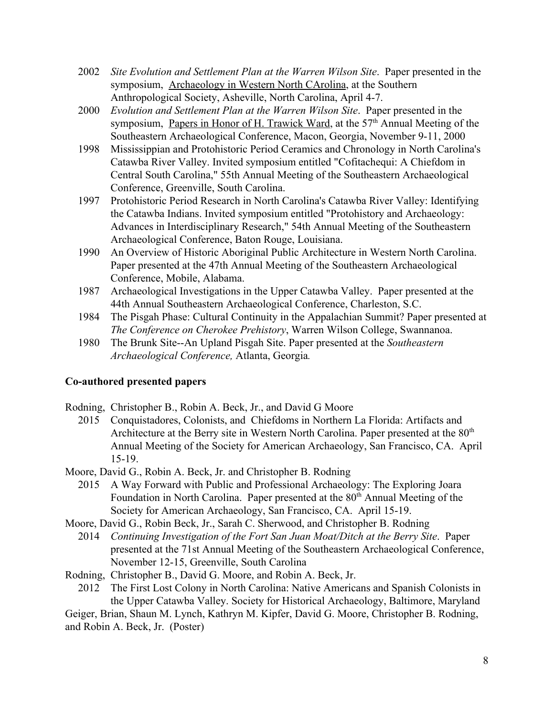- 2002 *Site Evolution and Settlement Plan at the Warren Wilson Site*. Paper presented in the symposium, Archaeology in Western North CArolina, at the Southern Anthropological Society, Asheville, North Carolina, April 4-7.
- 2000 *Evolution and Settlement Plan at the Warren Wilson Site*. Paper presented in the symposium, Papers in Honor of H. Trawick Ward, at the 57<sup>th</sup> Annual Meeting of the Southeastern Archaeological Conference, Macon, Georgia, November 9-11, 2000
- 1998 Mississippian and Protohistoric Period Ceramics and Chronology in North Carolina's Catawba River Valley. Invited symposium entitled "Cofitachequi: A Chiefdom in Central South Carolina," 55th Annual Meeting of the Southeastern Archaeological Conference, Greenville, South Carolina.
- 1997 Protohistoric Period Research in North Carolina's Catawba River Valley: Identifying the Catawba Indians. Invited symposium entitled "Protohistory and Archaeology: Advances in Interdisciplinary Research," 54th Annual Meeting of the Southeastern Archaeological Conference, Baton Rouge, Louisiana.
- 1990 An Overview of Historic Aboriginal Public Architecture in Western North Carolina. Paper presented at the 47th Annual Meeting of the Southeastern Archaeological Conference, Mobile, Alabama.
- 1987 Archaeological Investigations in the Upper Catawba Valley. Paper presented at the 44th Annual Southeastern Archaeological Conference, Charleston, S.C.
- 1984 The Pisgah Phase: Cultural Continuity in the Appalachian Summit? Paper presented at *The Conference on Cherokee Prehistory*, Warren Wilson College, Swannanoa.
- 1980 The Brunk Site--An Upland Pisgah Site. Paper presented at the *Southeastern Archaeological Conference,* Atlanta, Georgia*.*

## **Co-authored presented papers**

Rodning, Christopher B., Robin A. Beck, Jr., and David G Moore

2015 Conquistadores, Colonists, and Chiefdoms in Northern La Florida: Artifacts and Architecture at the Berry site in Western North Carolina. Paper presented at the 80<sup>th</sup> Annual Meeting of the Society for American Archaeology, San Francisco, CA. April 15-19.

Moore, David G., Robin A. Beck, Jr. and Christopher B. Rodning

- 2015 A Way Forward with Public and Professional Archaeology: The Exploring Joara Foundation in North Carolina. Paper presented at the 80<sup>th</sup> Annual Meeting of the Society for American Archaeology, San Francisco, CA. April 15-19.
- Moore, David G., Robin Beck, Jr., Sarah C. Sherwood, and Christopher B. Rodning
	- 2014 *Continuing Investigation of the Fort San Juan Moat/Ditch at the Berry Site*. Paper presented at the 71st Annual Meeting of the Southeastern Archaeological Conference, November 12-15, Greenville, South Carolina
- Rodning, Christopher B., David G. Moore, and Robin A. Beck, Jr.

2012 The First Lost Colony in North Carolina: Native Americans and Spanish Colonists in the Upper Catawba Valley. Society for Historical Archaeology, Baltimore, Maryland Geiger, Brian, Shaun M. Lynch, Kathryn M. Kipfer, David G. Moore, Christopher B. Rodning, and Robin A. Beck, Jr. (Poster)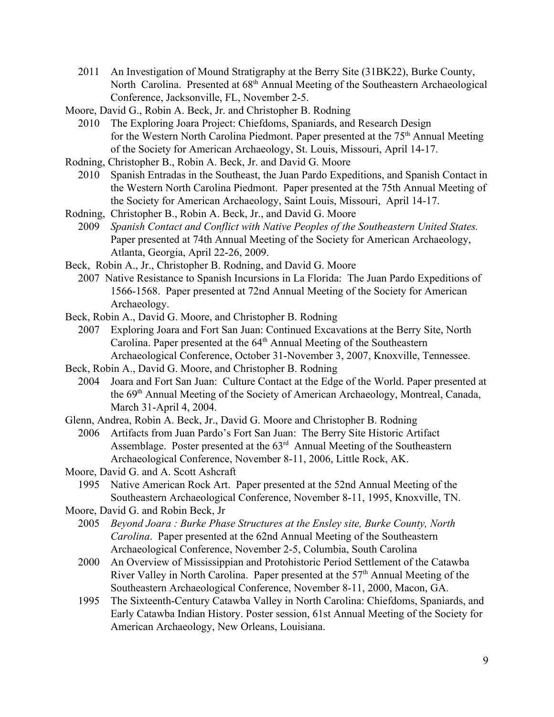- 2011 An Investigation of Mound Stratigraphy at the Berry Site (31BK22), Burke County, North Carolina. Presented at 68<sup>th</sup> Annual Meeting of the Southeastern Archaeological Conference, Jacksonville, FL, November 2-5.
- Moore, David G., Robin A. Beck, Jr. and Christopher B. Rodning
	- 2010 The Exploring Joara Project: Chiefdoms, Spaniards, and Research Design for the Western North Carolina Piedmont. Paper presented at the 75<sup>th</sup> Annual Meeting of the Society for American Archaeology, St. Louis, Missouri, April 14-17.
- Rodning, Christopher B., Robin A. Beck, Jr. and David G. Moore
	- 2010 Spanish Entradas in the Southeast, the Juan Pardo Expeditions, and Spanish Contact in the Western North Carolina Piedmont. Paper presented at the 75th Annual Meeting of the Society for American Archaeology, Saint Louis, Missouri, April 14-17.
- Rodning, Christopher B., Robin A. Beck, Jr., and David G. Moore
	- 2009 *Spanish Contact and Conflict with Native Peoples of the Southeastern United States.* Paper presented at 74th Annual Meeting of the Society for American Archaeology, Atlanta, Georgia, April 22-26, 2009.
- Beck, Robin A., Jr., Christopher B. Rodning, and David G. Moore
	- 2007 Native Resistance to Spanish Incursions in La Florida: The Juan Pardo Expeditions of 1566-1568. Paper presented at 72nd Annual Meeting of the Society for American Archaeology.
- Beck, Robin A., David G. Moore, and Christopher B. Rodning
	- 2007 Exploring Joara and Fort San Juan: Continued Excavations at the Berry Site, North Carolina. Paper presented at the 64<sup>th</sup> Annual Meeting of the Southeastern Archaeological Conference, October 31-November 3, 2007, Knoxville, Tennessee.
- Beck, Robin A., David G. Moore, and Christopher B. Rodning
	- 2004 Joara and Fort San Juan: Culture Contact at the Edge of the World. Paper presented at the 69<sup>th</sup> Annual Meeting of the Society of American Archaeology, Montreal, Canada, March 31-April 4, 2004.
- Glenn, Andrea, Robin A. Beck, Jr., David G. Moore and Christopher B. Rodning
	- 2006 Artifacts from Juan Pardo's Fort San Juan: The Berry Site Historic Artifact Assemblage. Poster presented at the  $63<sup>rd</sup>$  Annual Meeting of the Southeastern Archaeological Conference, November 8-11, 2006, Little Rock, AK.
- Moore, David G. and A. Scott Ashcraft
	- 1995 Native American Rock Art. Paper presented at the 52nd Annual Meeting of the Southeastern Archaeological Conference, November 8-11, 1995, Knoxville, TN.
- Moore, David G. and Robin Beck, Jr
	- 2005 *Beyond Joara : Burke Phase Structures at the Ensley site, Burke County, North Carolina*. Paper presented at the 62nd Annual Meeting of the Southeastern Archaeological Conference, November 2-5, Columbia, South Carolina
	- 2000 An Overview of Mississippian and Protohistoric Period Settlement of the Catawba River Valley in North Carolina. Paper presented at the 57<sup>th</sup> Annual Meeting of the Southeastern Archaeological Conference, November 8-11, 2000, Macon, GA.
	- 1995 The Sixteenth-Century Catawba Valley in North Carolina: Chiefdoms, Spaniards, and Early Catawba Indian History. Poster session, 61st Annual Meeting of the Society for American Archaeology, New Orleans, Louisiana.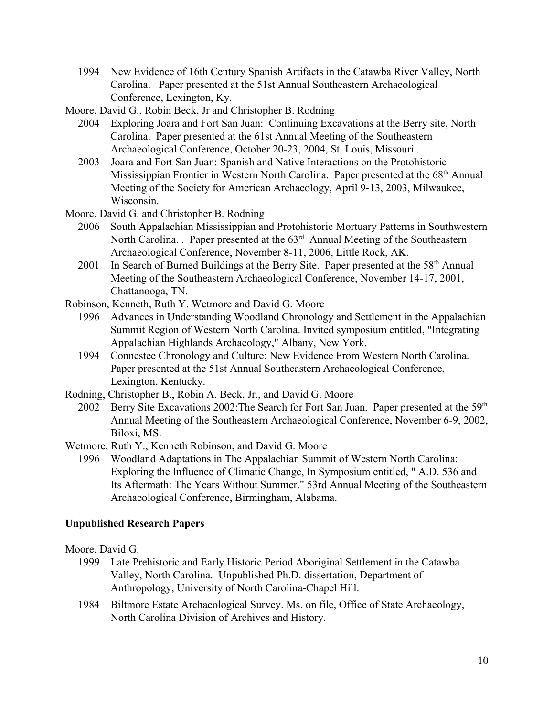- 1994 New Evidence of 16th Century Spanish Artifacts in the Catawba River Valley, North Carolina. Paper presented at the 51st Annual Southeastern Archaeological Conference, Lexington, Ky.
- Moore, David G., Robin Beck, Jr and Christopher B. Rodning
	- 2004 Exploring Joara and Fort San Juan: Continuing Excavations at the Berry site, North Carolina. Paper presented at the 61st Annual Meeting of the Southeastern Archaeological Conference, October 20-23, 2004, St. Louis, Missouri..
	- 2003 Joara and Fort San Juan: Spanish and Native Interactions on the Protohistoric Mississippian Frontier in Western North Carolina. Paper presented at the 68<sup>th</sup> Annual Meeting of the Society for American Archaeology, April 9-13, 2003, Milwaukee, Wisconsin.
- Moore, David G. and Christopher B. Rodning
	- 2006 South Appalachian Mississippian and Protohistoric Mortuary Patterns in Southwestern North Carolina. Paper presented at the 63<sup>rd</sup> Annual Meeting of the Southeastern Archaeological Conference, November 8-11, 2006, Little Rock, AK.
	- 2001 In Search of Burned Buildings at the Berry Site. Paper presented at the 58<sup>th</sup> Annual Meeting of the Southeastern Archaeological Conference, November 14-17, 2001, Chattanooga, TN.
- Robinson, Kenneth, Ruth Y. Wetmore and David G. Moore
	- 1996 Advances in Understanding Woodland Chronology and Settlement in the Appalachian Summit Region of Western North Carolina. Invited symposium entitled, "Integrating Appalachian Highlands Archaeology," Albany, New York.
	- 1994 Connestee Chronology and Culture: New Evidence From Western North Carolina. Paper presented at the 51st Annual Southeastern Archaeological Conference, Lexington, Kentucky.
- Rodning, Christopher B., Robin A. Beck, Jr., and David G. Moore
	- 2002 Berry Site Excavations 2002: The Search for Fort San Juan. Paper presented at the 59<sup>th</sup> Annual Meeting of the Southeastern Archaeological Conference, November 6-9, 2002, Biloxi, MS.
- Wetmore, Ruth Y., Kenneth Robinson, and David G. Moore
	- 1996 Woodland Adaptations in The Appalachian Summit of Western North Carolina: Exploring the Influence of Climatic Change, In Symposium entitled, " A.D. 536 and Its Aftermath: The Years Without Summer." 53rd Annual Meeting of the Southeastern Archaeological Conference, Birmingham, Alabama.

## **Unpublished Research Papers**

- Moore, David G.
	- 1999 Late Prehistoric and Early Historic Period Aboriginal Settlement in the Catawba Valley, North Carolina. Unpublished Ph.D. dissertation, Department of Anthropology, University of North Carolina-Chapel Hill.
	- 1984 Biltmore Estate Archaeological Survey. Ms. on file, Office of State Archaeology, North Carolina Division of Archives and History.